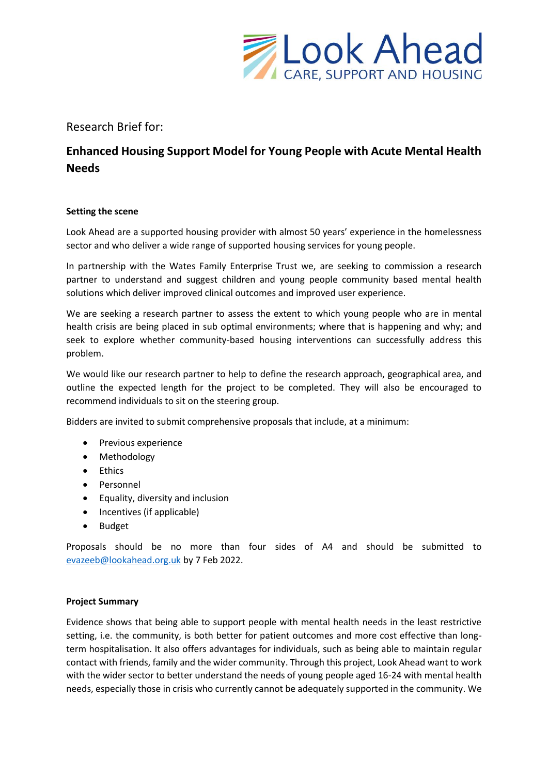

Research Brief for:

# **Enhanced Housing Support Model for Young People with Acute Mental Health Needs**

## **Setting the scene**

Look Ahead are a supported housing provider with almost 50 years' experience in the homelessness sector and who deliver a wide range of supported housing services for young people.

In partnership with the Wates Family Enterprise Trust we, are seeking to commission a research partner to understand and suggest children and young people community based mental health solutions which deliver improved clinical outcomes and improved user experience.

We are seeking a research partner to assess the extent to which young people who are in mental health crisis are being placed in sub optimal environments; where that is happening and why; and seek to explore whether community-based housing interventions can successfully address this problem.

We would like our research partner to help to define the research approach, geographical area, and outline the expected length for the project to be completed. They will also be encouraged to recommend individuals to sit on the steering group.

Bidders are invited to submit comprehensive proposals that include, at a minimum:

- Previous experience
- Methodology
- Ethics
- Personnel
- Equality, diversity and inclusion
- Incentives (if applicable)
- Budget

Proposals should be no more than four sides of A4 and should be submitted to [evazeeb@lookahead.org.uk](mailto:evazeeb@lookahead.org.uk) by 7 Feb 2022.

## **Project Summary**

Evidence shows that being able to support people with mental health needs in the least restrictive setting, i.e. the community, is both better for patient outcomes and more cost effective than longterm hospitalisation. It also offers advantages for individuals, such as being able to maintain regular contact with friends, family and the wider community. Through this project, Look Ahead want to work with the wider sector to better understand the needs of young people aged 16-24 with mental health needs, especially those in crisis who currently cannot be adequately supported in the community. We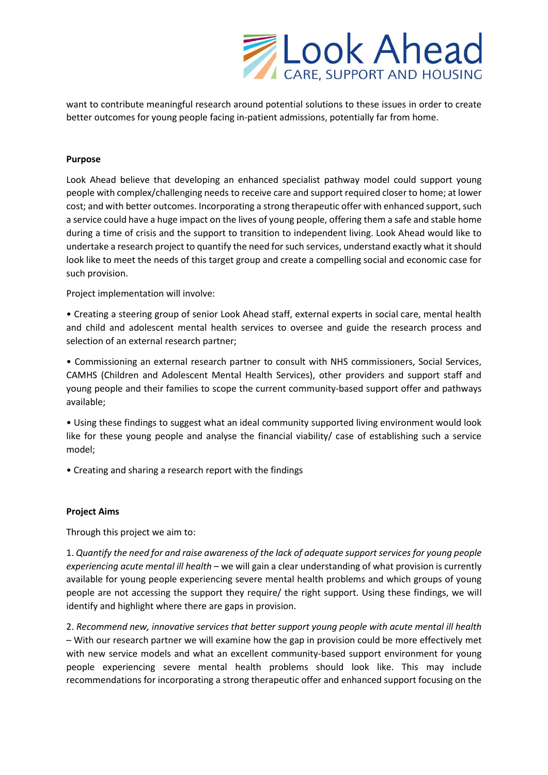

want to contribute meaningful research around potential solutions to these issues in order to create better outcomes for young people facing in-patient admissions, potentially far from home.

## **Purpose**

Look Ahead believe that developing an enhanced specialist pathway model could support young people with complex/challenging needs to receive care and support required closer to home; at lower cost; and with better outcomes. Incorporating a strong therapeutic offer with enhanced support, such a service could have a huge impact on the lives of young people, offering them a safe and stable home during a time of crisis and the support to transition to independent living. Look Ahead would like to undertake a research project to quantify the need for such services, understand exactly what it should look like to meet the needs of this target group and create a compelling social and economic case for such provision.

Project implementation will involve:

• Creating a steering group of senior Look Ahead staff, external experts in social care, mental health and child and adolescent mental health services to oversee and guide the research process and selection of an external research partner;

• Commissioning an external research partner to consult with NHS commissioners, Social Services, CAMHS (Children and Adolescent Mental Health Services), other providers and support staff and young people and their families to scope the current community-based support offer and pathways available;

• Using these findings to suggest what an ideal community supported living environment would look like for these young people and analyse the financial viability/ case of establishing such a service model;

• Creating and sharing a research report with the findings

#### **Project Aims**

Through this project we aim to:

1. *Quantify the need for and raise awareness of the lack of adequate support services for young people experiencing acute mental ill health* – we will gain a clear understanding of what provision is currently available for young people experiencing severe mental health problems and which groups of young people are not accessing the support they require/ the right support. Using these findings, we will identify and highlight where there are gaps in provision.

2. *Recommend new, innovative services that better support young people with acute mental ill health*  – With our research partner we will examine how the gap in provision could be more effectively met with new service models and what an excellent community-based support environment for young people experiencing severe mental health problems should look like. This may include recommendations for incorporating a strong therapeutic offer and enhanced support focusing on the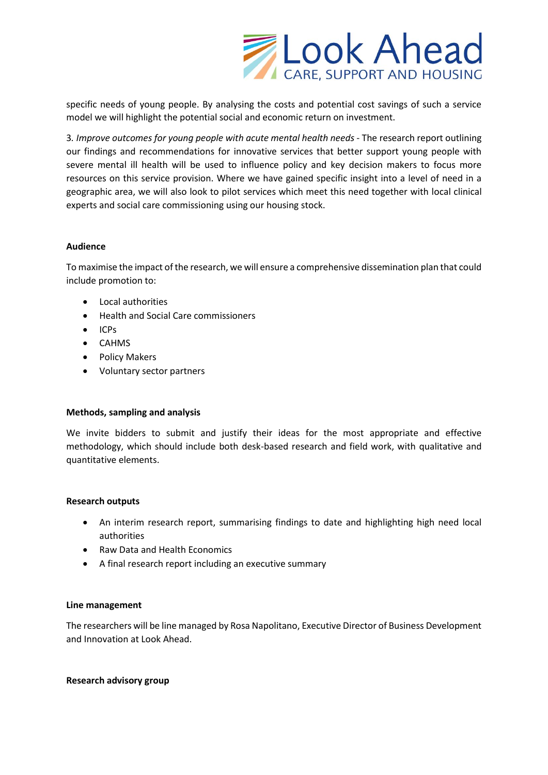

specific needs of young people. By analysing the costs and potential cost savings of such a service model we will highlight the potential social and economic return on investment.

3*. Improve outcomes for young people with acute mental health needs* - The research report outlining our findings and recommendations for innovative services that better support young people with severe mental ill health will be used to influence policy and key decision makers to focus more resources on this service provision. Where we have gained specific insight into a level of need in a geographic area, we will also look to pilot services which meet this need together with local clinical experts and social care commissioning using our housing stock.

### **Audience**

To maximise the impact of the research, we will ensure a comprehensive dissemination plan that could include promotion to:

- Local authorities
- Health and Social Care commissioners
- ICPs
- CAHMS
- Policy Makers
- Voluntary sector partners

## **Methods, sampling and analysis**

We invite bidders to submit and justify their ideas for the most appropriate and effective methodology, which should include both desk-based research and field work, with qualitative and quantitative elements.

#### **Research outputs**

- An interim research report, summarising findings to date and highlighting high need local authorities
- Raw Data and Health Economics
- A final research report including an executive summary

#### **Line management**

The researchers will be line managed by Rosa Napolitano, Executive Director of Business Development and Innovation at Look Ahead.

#### **Research advisory group**